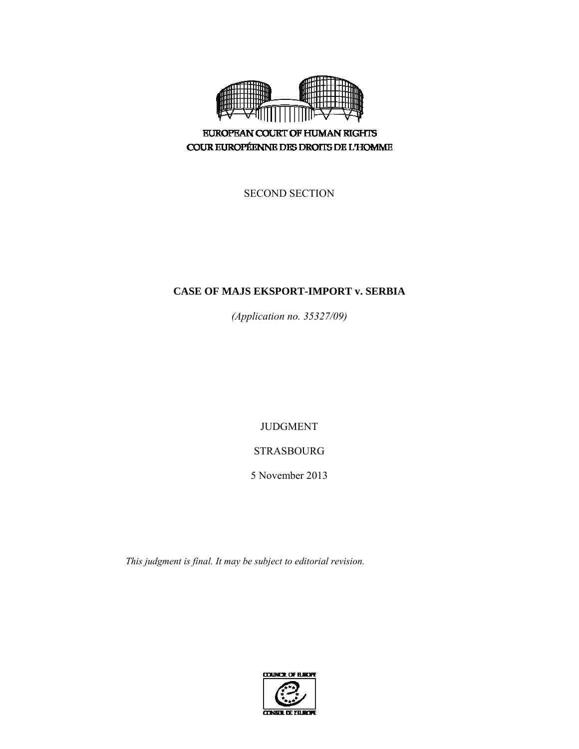

**EUROPEAN COURT OF HUMAN RIGHTS** COUR EUROPÉENNE DES DROITS DE L'HOMME

SECOND SECTION

# **CASE OF MAJS EKSPORT-IMPORT v. SERBIA**

*(Application no. 35327/09)* 

JUDGMENT

# STRASBOURG

5 November 2013

*This judgment is final. It may be subject to editorial revision.* 

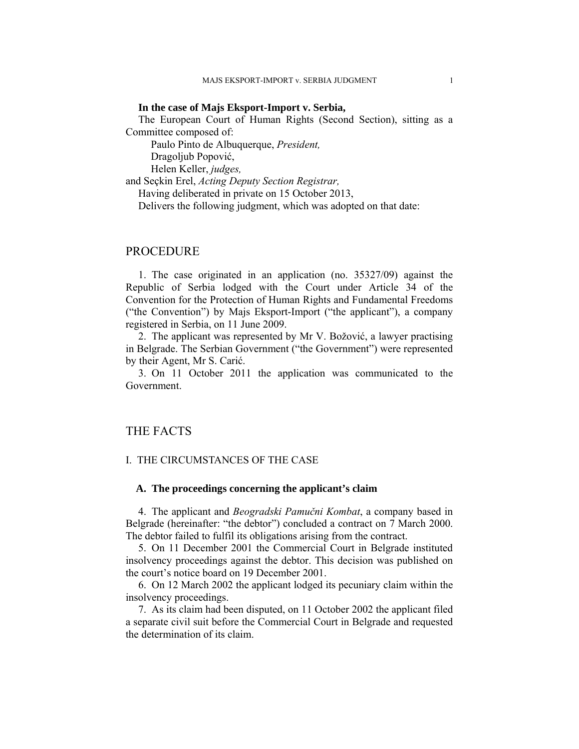## **In the case of Majs Eksport-Import v. Serbia,**

The European Court of Human Rights (Second Section), sitting as a Committee composed of:

Paulo Pinto de Albuquerque, *President,* 

Dragoljub Popović,

Helen Keller, *judges,*

and Seçkin Erel, *Acting Deputy Section Registrar,* 

Having deliberated in private on 15 October 2013,

Delivers the following judgment, which was adopted on that date:

## PROCEDURE

1. The case originated in an application (no. 35327/09) against the Republic of Serbia lodged with the Court under Article 34 of the Convention for the Protection of Human Rights and Fundamental Freedoms ("the Convention") by Majs Eksport-Import ("the applicant"), a company registered in Serbia, on 11 June 2009.

2. The applicant was represented by Mr V. Božović, a lawyer practising in Belgrade. The Serbian Government ("the Government") were represented by their Agent, Mr S. Carić.

3. On 11 October 2011 the application was communicated to the Government.

## THE FACTS

## I. THE CIRCUMSTANCES OF THE CASE

## **A. The proceedings concerning the applicant's claim**

4. The applicant and *Beogradski Pamučni Kombat*, a company based in Belgrade (hereinafter: "the debtor") concluded a contract on 7 March 2000. The debtor failed to fulfil its obligations arising from the contract.

5. On 11 December 2001 the Commercial Court in Belgrade instituted insolvency proceedings against the debtor. This decision was published on the court's notice board on 19 December 2001.

6. On 12 March 2002 the applicant lodged its pecuniary claim within the insolvency proceedings.

7. As its claim had been disputed, on 11 October 2002 the applicant filed a separate civil suit before the Commercial Court in Belgrade and requested the determination of its claim.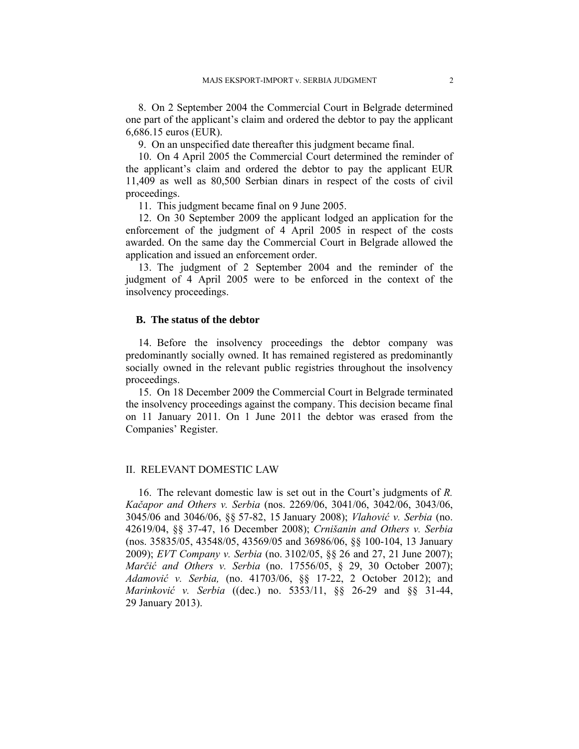8. On 2 September 2004 the Commercial Court in Belgrade determined one part of the applicant's claim and ordered the debtor to pay the applicant 6,686.15 euros (EUR).

9. On an unspecified date thereafter this judgment became final.

10. On 4 April 2005 the Commercial Court determined the reminder of the applicant's claim and ordered the debtor to pay the applicant EUR 11,409 as well as 80,500 Serbian dinars in respect of the costs of civil proceedings.

11. This judgment became final on 9 June 2005.

12. On 30 September 2009 the applicant lodged an application for the enforcement of the judgment of 4 April 2005 in respect of the costs awarded. On the same day the Commercial Court in Belgrade allowed the application and issued an enforcement order.

13. The judgment of 2 September 2004 and the reminder of the judgment of 4 April 2005 were to be enforced in the context of the insolvency proceedings.

## **B. The status of the debtor**

14. Before the insolvency proceedings the debtor company was predominantly socially owned. It has remained registered as predominantly socially owned in the relevant public registries throughout the insolvency proceedings.

15. On 18 December 2009 the Commercial Court in Belgrade terminated the insolvency proceedings against the company. This decision became final on 11 January 2011. On 1 June 2011 the debtor was erased from the Companies' Register.

## II. RELEVANT DOMESTIC LAW

16. The relevant domestic law is set out in the Court's judgments of *R. Kačapor and Others v. Serbia* (nos. 2269/06, 3041/06, 3042/06, 3043/06, 3045/06 and 3046/06, §§ 57-82, 15 January 2008); *Vlahović v. Serbia* (no. 42619/04, §§ 37-47, 16 December 2008); *Crnišanin and Others v. Serbia* (nos. 35835/05, 43548/05, 43569/05 and 36986/06, §§ 100-104, 13 January 2009); *EVT Company v. Serbia* (no. 3102/05, §§ 26 and 27, 21 June 2007); *Marčić and Others v. Serbia* (no. 17556/05, § 29, 30 October 2007); *Adamović v. Serbia,* (no. 41703/06, §§ 17-22, 2 October 2012); and *Marinković v. Serbia* ((dec.) no. 5353/11, §§ 26-29 and §§ 31-44, 29 January 2013).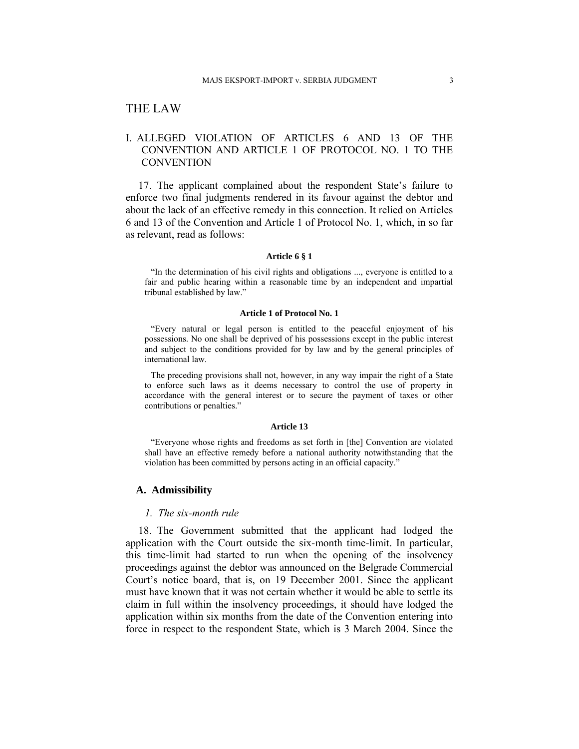# THE LAW

# I. ALLEGED VIOLATION OF ARTICLES 6 AND 13 OF THE CONVENTION AND ARTICLE 1 OF PROTOCOL NO. 1 TO THE **CONVENTION**

17. The applicant complained about the respondent State's failure to enforce two final judgments rendered in its favour against the debtor and about the lack of an effective remedy in this connection. It relied on Articles 6 and 13 of the Convention and Article 1 of Protocol No. 1, which, in so far as relevant, read as follows:

#### **Article 6 § 1**

"In the determination of his civil rights and obligations ..., everyone is entitled to a fair and public hearing within a reasonable time by an independent and impartial tribunal established by law."

#### **Article 1 of Protocol No. 1**

"Every natural or legal person is entitled to the peaceful enjoyment of his possessions. No one shall be deprived of his possessions except in the public interest and subject to the conditions provided for by law and by the general principles of international law.

The preceding provisions shall not, however, in any way impair the right of a State to enforce such laws as it deems necessary to control the use of property in accordance with the general interest or to secure the payment of taxes or other contributions or penalties."

#### **Article 13**

"Everyone whose rights and freedoms as set forth in [the] Convention are violated shall have an effective remedy before a national authority notwithstanding that the violation has been committed by persons acting in an official capacity."

## **A. Admissibility**

#### *1. The six-month rule*

18. The Government submitted that the applicant had lodged the application with the Court outside the six-month time-limit. In particular, this time-limit had started to run when the opening of the insolvency proceedings against the debtor was announced on the Belgrade Commercial Court's notice board, that is, on 19 December 2001. Since the applicant must have known that it was not certain whether it would be able to settle its claim in full within the insolvency proceedings, it should have lodged the application within six months from the date of the Convention entering into force in respect to the respondent State, which is 3 March 2004. Since the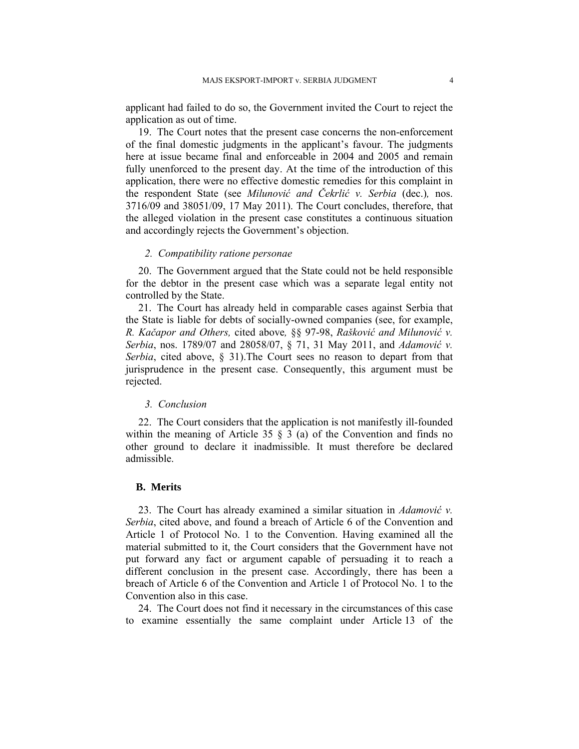applicant had failed to do so, the Government invited the Court to reject the application as out of time.

19. The Court notes that the present case concerns the non-enforcement of the final domestic judgments in the applicant's favour. The judgments here at issue became final and enforceable in 2004 and 2005 and remain fully unenforced to the present day. At the time of the introduction of this application, there were no effective domestic remedies for this complaint in the respondent State (see *Milunović and Čekrlić v. Serbia* (dec.)*,* nos. 3716/09 and 38051/09, 17 May 2011). The Court concludes, therefore, that the alleged violation in the present case constitutes a continuous situation and accordingly rejects the Government's objection.

## *2. Compatibility ratione personae*

20. The Government argued that the State could not be held responsible for the debtor in the present case which was a separate legal entity not controlled by the State.

21. The Court has already held in comparable cases against Serbia that the State is liable for debts of socially-owned companies (see, for example, *R. Kačapor and Others,* cited above*,* §§ 97-98, *Rašković and Milunović v. Serbia*, nos. 1789/07 and 28058/07, § 71, 31 May 2011, and *Adamović v. Serbia*, cited above, § 31).The Court sees no reason to depart from that jurisprudence in the present case. Consequently, this argument must be rejected.

### *3. Conclusion*

22. The Court considers that the application is not manifestly ill-founded within the meaning of Article 35  $\S$  3 (a) of the Convention and finds no other ground to declare it inadmissible. It must therefore be declared admissible.

## **B. Merits**

23. The Court has already examined a similar situation in *Adamović v. Serbia*, cited above, and found a breach of Article 6 of the Convention and Article 1 of Protocol No. 1 to the Convention. Having examined all the material submitted to it, the Court considers that the Government have not put forward any fact or argument capable of persuading it to reach a different conclusion in the present case. Accordingly, there has been a breach of Article 6 of the Convention and Article 1 of Protocol No. 1 to the Convention also in this case.

24. The Court does not find it necessary in the circumstances of this case to examine essentially the same complaint under Article 13 of the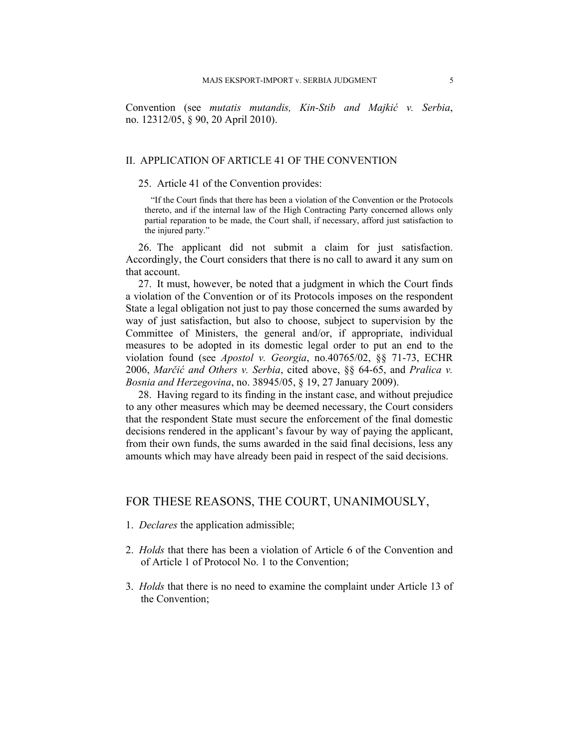Convention (see *mutatis mutandis, Kin-Stib and Majkić v. Serbia*, no. 12312/05, § 90, 20 April 2010).

## II. APPLICATION OF ARTICLE 41 OF THE CONVENTION

#### 25. Article 41 of the Convention provides:

"If the Court finds that there has been a violation of the Convention or the Protocols thereto, and if the internal law of the High Contracting Party concerned allows only partial reparation to be made, the Court shall, if necessary, afford just satisfaction to the injured party."

26. The applicant did not submit a claim for just satisfaction. Accordingly, the Court considers that there is no call to award it any sum on that account.

27. It must, however, be noted that a judgment in which the Court finds a violation of the Convention or of its Protocols imposes on the respondent State a legal obligation not just to pay those concerned the sums awarded by way of just satisfaction, but also to choose, subject to supervision by the Committee of Ministers, the general and/or, if appropriate, individual measures to be adopted in its domestic legal order to put an end to the violation found (see *Apostol v. Georgia*, no.40765/02, §§ 71-73, ECHR 2006, *Marčić and Others v. Serbia*, cited above, §§ 64-65, and *Pralica v. Bosnia and Herzegovina*, no. 38945/05, § 19, 27 January 2009).

28. Having regard to its finding in the instant case, and without prejudice to any other measures which may be deemed necessary, the Court considers that the respondent State must secure the enforcement of the final domestic decisions rendered in the applicant's favour by way of paying the applicant, from their own funds, the sums awarded in the said final decisions, less any amounts which may have already been paid in respect of the said decisions.

# FOR THESE REASONS, THE COURT, UNANIMOUSLY,

- 1. *Declares* the application admissible;
- 2. *Holds* that there has been a violation of Article 6 of the Convention and of Article 1 of Protocol No. 1 to the Convention;
- 3. *Holds* that there is no need to examine the complaint under Article 13 of the Convention;